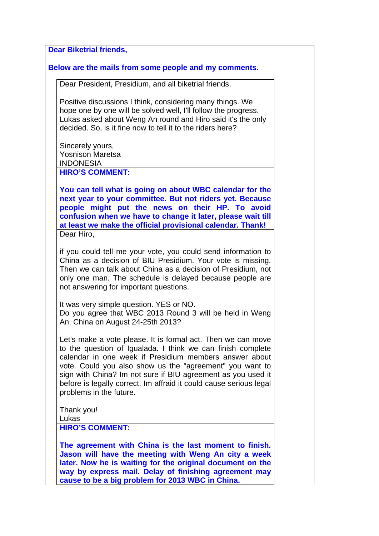**Dear Biketrial friends,** 

## **Below are the mails from some people and my comments.**

Dear President, Presidium, and all biketrial friends,

Positive discussions I think, considering many things. We hope one by one will be solved well, I'll follow the progress. Lukas asked about Weng An round and Hiro said it's the only decided. So, is it fine now to tell it to the riders here?

Sincerely yours, Yosnison Maretsa INDONESIA **HIRO'S COMMENT:** 

**You can tell what is going on about WBC calendar for the next year to your committee. But not riders yet. Because people might put the news on their HP. To avoid confusion when we have to change it later, please wait till at least we make the official provisional calendar. Thank!**  Dear Hiro,

if you could tell me your vote, you could send information to China as a decision of BIU Presidium. Your vote is missing. Then we can talk about China as a decision of Presidium, not only one man. The schedule is delayed because people are not answering for important questions.

It was very simple question. YES or NO. Do you agree that WBC 2013 Round 3 will be held in Weng An, China on August 24-25th 2013?

Let's make a vote please. It is formal act. Then we can move to the question of Igualada. I think we can finish complete calendar in one week if Presidium members answer about vote. Could you also show us the "agreement" you want to sign with China? Im not sure if BIU agreement as you used it before is legally correct. Im affraid it could cause serious legal problems in the future.

Thank you!

Lukas

**HIRO'S COMMENT:** 

**The agreement with China is the last moment to finish. Jason will have the meeting with Weng An city a week later. Now he is waiting for the original document on the way by express mail. Delay of finishing agreement may cause to be a big problem for 2013 WBC in China.**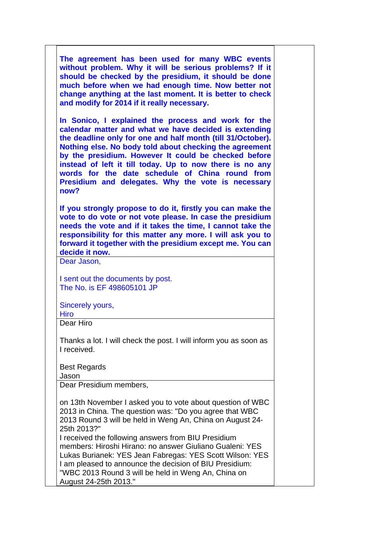| The agreement has been used for many WBC events<br>without problem. Why it will be serious problems? If it<br>should be checked by the presidium, it should be done<br>much before when we had enough time. Now better not<br>change anything at the last moment. It is better to check<br>and modify for 2014 if it really necessary.                                                                                                                                      |
|-----------------------------------------------------------------------------------------------------------------------------------------------------------------------------------------------------------------------------------------------------------------------------------------------------------------------------------------------------------------------------------------------------------------------------------------------------------------------------|
| In Sonico, I explained the process and work for the<br>calendar matter and what we have decided is extending<br>the deadline only for one and half month (till 31/October).<br>Nothing else. No body told about checking the agreement<br>by the presidium. However It could be checked before<br>instead of left it till today. Up to now there is no any<br>words for the date schedule of China round from<br>Presidium and delegates. Why the vote is necessary<br>now? |
| If you strongly propose to do it, firstly you can make the<br>vote to do vote or not vote please. In case the presidium<br>needs the vote and if it takes the time, I cannot take the<br>responsibility for this matter any more. I will ask you to<br>forward it together with the presidium except me. You can<br>decide it now.<br>Dear Jason,                                                                                                                           |
| I sent out the documents by post.<br>The No. is EF 498605101 JP                                                                                                                                                                                                                                                                                                                                                                                                             |
| Sincerely yours,<br><b>Hiro</b>                                                                                                                                                                                                                                                                                                                                                                                                                                             |
| Dear Hiro                                                                                                                                                                                                                                                                                                                                                                                                                                                                   |
| Thanks a lot. I will check the post. I will inform you as soon as<br>I received.                                                                                                                                                                                                                                                                                                                                                                                            |
| <b>Best Regards</b><br>Jason                                                                                                                                                                                                                                                                                                                                                                                                                                                |
| Dear Presidium members,                                                                                                                                                                                                                                                                                                                                                                                                                                                     |
| on 13th November I asked you to vote about question of WBC<br>2013 in China. The question was: "Do you agree that WBC<br>2013 Round 3 will be held in Weng An, China on August 24-<br>25th 2013?"<br>I received the following answers from BIU Presidium                                                                                                                                                                                                                    |
| members: Hiroshi Hirano: no answer Giuliano Gualeni: YES<br>Lukas Burianek: YES Jean Fabregas: YES Scott Wilson: YES<br>I am pleased to announce the decision of BIU Presidium:<br>"WBC 2013 Round 3 will be held in Weng An, China on<br>August 24-25th 2013."                                                                                                                                                                                                             |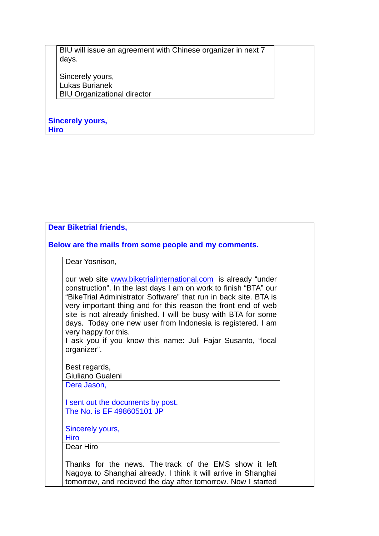BIU will issue an agreement with Chinese organizer in next 7 days.

Sincerely yours, Lukas Burianek BIU Organizational director

**Sincerely yours, Hiro**

| <b>Dear Biketrial friends,</b>                                                                                                                                                                                                                                                                                                                                                                                                                                                                                |  |
|---------------------------------------------------------------------------------------------------------------------------------------------------------------------------------------------------------------------------------------------------------------------------------------------------------------------------------------------------------------------------------------------------------------------------------------------------------------------------------------------------------------|--|
| Below are the mails from some people and my comments.                                                                                                                                                                                                                                                                                                                                                                                                                                                         |  |
| Dear Yosnison,                                                                                                                                                                                                                                                                                                                                                                                                                                                                                                |  |
| our web site www.biketrialinternational.com is already "under<br>construction". In the last days I am on work to finish "BTA" our<br>"BikeTrial Administrator Software" that run in back site. BTA is<br>very important thing and for this reason the front end of web<br>site is not already finished. I will be busy with BTA for some<br>days. Today one new user from Indonesia is registered. I am<br>very happy for this.<br>I ask you if you know this name: Juli Fajar Susanto, "local<br>organizer". |  |
| Best regards,                                                                                                                                                                                                                                                                                                                                                                                                                                                                                                 |  |
| Giuliano Gualeni                                                                                                                                                                                                                                                                                                                                                                                                                                                                                              |  |
| Dera Jason,                                                                                                                                                                                                                                                                                                                                                                                                                                                                                                   |  |
| I sent out the documents by post.<br>The No. is EF 498605101 JP                                                                                                                                                                                                                                                                                                                                                                                                                                               |  |
| Sincerely yours,<br><b>Hiro</b>                                                                                                                                                                                                                                                                                                                                                                                                                                                                               |  |
| Dear Hiro                                                                                                                                                                                                                                                                                                                                                                                                                                                                                                     |  |
| Thanks for the news. The track of the EMS show it left<br>Nagoya to Shanghai already. I think it will arrive in Shanghai<br>tomorrow, and recieved the day after tomorrow. Now I started                                                                                                                                                                                                                                                                                                                      |  |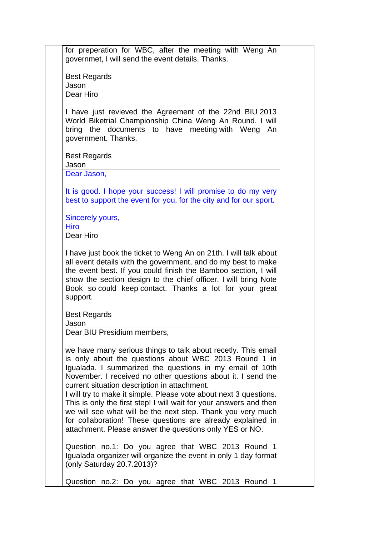| <b>Best Regards</b>                  |                                                                                                                                                                                                                                                                                                                                                                                                                                                                                                                                                                                                                                        |
|--------------------------------------|----------------------------------------------------------------------------------------------------------------------------------------------------------------------------------------------------------------------------------------------------------------------------------------------------------------------------------------------------------------------------------------------------------------------------------------------------------------------------------------------------------------------------------------------------------------------------------------------------------------------------------------|
| Jason                                |                                                                                                                                                                                                                                                                                                                                                                                                                                                                                                                                                                                                                                        |
| Dear Hiro                            |                                                                                                                                                                                                                                                                                                                                                                                                                                                                                                                                                                                                                                        |
| bring the<br>government. Thanks.     | I have just revieved the Agreement of the 22nd BIU 2013<br>World Biketrial Championship China Weng An Round. I will<br>documents to have meeting with Weng<br>An                                                                                                                                                                                                                                                                                                                                                                                                                                                                       |
| <b>Best Regards</b><br>Jason         |                                                                                                                                                                                                                                                                                                                                                                                                                                                                                                                                                                                                                                        |
| Dear Jason,                          |                                                                                                                                                                                                                                                                                                                                                                                                                                                                                                                                                                                                                                        |
|                                      |                                                                                                                                                                                                                                                                                                                                                                                                                                                                                                                                                                                                                                        |
|                                      | It is good. I hope your success! I will promise to do my very<br>best to support the event for you, for the city and for our sport.                                                                                                                                                                                                                                                                                                                                                                                                                                                                                                    |
| Sincerely yours,                     |                                                                                                                                                                                                                                                                                                                                                                                                                                                                                                                                                                                                                                        |
| <b>Hiro</b>                          |                                                                                                                                                                                                                                                                                                                                                                                                                                                                                                                                                                                                                                        |
| Dear Hiro                            |                                                                                                                                                                                                                                                                                                                                                                                                                                                                                                                                                                                                                                        |
|                                      | the event best. If you could finish the Bamboo section, I will                                                                                                                                                                                                                                                                                                                                                                                                                                                                                                                                                                         |
| support.                             | show the section design to the chief officer. I will bring Note<br>Book so could keep contact. Thanks a lot for your great                                                                                                                                                                                                                                                                                                                                                                                                                                                                                                             |
| <b>Best Regards</b>                  |                                                                                                                                                                                                                                                                                                                                                                                                                                                                                                                                                                                                                                        |
| Jason<br>Dear BIU Presidium members, |                                                                                                                                                                                                                                                                                                                                                                                                                                                                                                                                                                                                                                        |
|                                      | we have many serious things to talk about recetly. This email<br>is only about the questions about WBC 2013 Round 1 in<br>Igualada. I summarized the questions in my email of 10th<br>November. I received no other questions about it. I send the<br>current situation description in attachment.<br>I will try to make it simple. Please vote about next 3 questions.<br>This is only the first step! I will wait for your answers and then<br>we will see what will be the next step. Thank you very much<br>for collaboration! These questions are already explained in<br>attachment. Please answer the questions only YES or NO. |
| (only Saturday 20.7.2013)?           | Question no.1: Do you agree that WBC 2013 Round 1<br>Igualada organizer will organize the event in only 1 day format                                                                                                                                                                                                                                                                                                                                                                                                                                                                                                                   |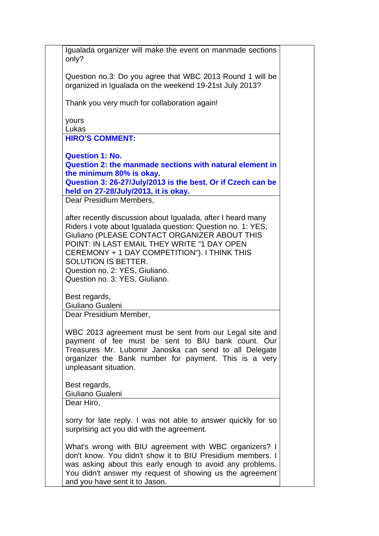Igualada organizer will make the event on manmade sections only? Question no.3: Do you agree that WBC 2013 Round 1 will be organized in Igualada on the weekend 19-21st July 2013? Thank you very much for collaboration again! yours Lukas **HIRO'S COMMENT: Question 1: No. Question 2: the manmade sections with natural element in the minimum 80% is okay. Question 3: 26-27/July/2013 is the best. Or if Czech can be held on 27-28/July/2013, it is okay.** Dear Presidium Members, after recently discussion about Igualada, after I heard many Riders I vote about Igualada question: Question no. 1: YES, Giuliano (PLEASE CONTACT ORGANIZER ABOUT THIS POINT: IN LAST EMAIL THEY WRITE "1 DAY OPEN CEREMONY + 1 DAY COMPETITION"). I THINK THIS SOLUTION IS BETTER. Question no. 2: YES, Giuliano. Question no. 3: YES, Giuliano. Best regards, Giuliano Gualeni Dear Presidium Member, WBC 2013 agreement must be sent from our Legal site and payment of fee must be sent to BIU bank count. Our Treasures Mr. Lubomir Janoska can send to all Delegate organizer the Bank number for payment. This is a very unpleasant situation. Best regards, Giuliano Gualeni Dear Hiro, sorry for late reply. I was not able to answer quickly for so surprising act you did with the agreement. What's wrong with BIU agreement with WBC organizers? I don't know. You didn't show it to BIU Presidium members. I was asking about this early enough to avoid any problems. You didn't answer my request of showing us the agreement and you have sent it to Jason.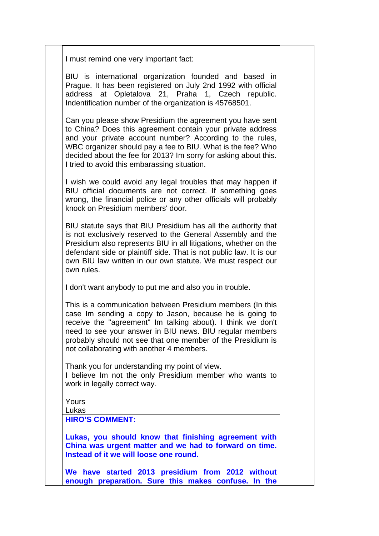I must remind one very important fact:

BIU is international organization founded and based in Prague. It has been registered on July 2nd 1992 with official address at Opletalova 21, Praha 1, Czech republic. Indentification number of the organization is 45768501.

Can you please show Presidium the agreement you have sent to China? Does this agreement contain your private address and your private account number? According to the rules, WBC organizer should pay a fee to BIU. What is the fee? Who decided about the fee for 2013? Im sorry for asking about this. I tried to avoid this embarassing situation.

I wish we could avoid any legal troubles that may happen if BIU official documents are not correct. If something goes wrong, the financial police or any other officials will probably knock on Presidium members' door.

BIU statute says that BIU Presidium has all the authority that is not exclusively reserved to the General Assembly and the Presidium also represents BIU in all litigations, whether on the defendant side or plaintiff side. That is not public law. It is our own BIU law written in our own statute. We must respect our own rules.

I don't want anybody to put me and also you in trouble.

This is a communication between Presidium members (In this case Im sending a copy to Jason, because he is going to receive the "agreement" Im talking about). I think we don't need to see your answer in BIU news. BIU regular members probably should not see that one member of the Presidium is not collaborating with another 4 members.

Thank you for understanding my point of view.

I believe Im not the only Presidium member who wants to work in legally correct way.

Yours Lukas

**HIRO'S COMMENT:** 

**Lukas, you should know that finishing agreement with China was urgent matter and we had to forward on time. Instead of it we will loose one round.** 

**We have started 2013 presidium from 2012 without enough preparation. Sure this makes confuse. In the**